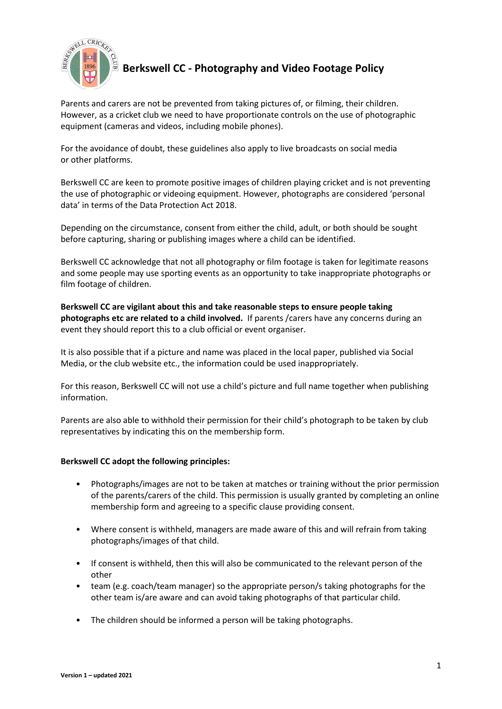

## **Berkswell CC - Photography and Video Footage Policy**

Parents and carers are not be prevented from taking pictures of, or filming, their children. However, as a cricket club we need to have proportionate controls on the use of photographic equipment (cameras and videos, including mobile phones).

For the avoidance of doubt, these guidelines also apply to live broadcasts on social media or other platforms.

Berkswell CC are keen to promote positive images of children playing cricket and is not preventing the use of photographic or videoing equipment. However, photographs are considered 'personal data' in terms of the Data Protection Act 2018.

Depending on the circumstance, consent from either the child, adult, or both should be sought before capturing, sharing or publishing images where a child can be identified.

Berkswell CC acknowledge that not all photography or film footage is taken for legitimate reasons and some people may use sporting events as an opportunity to take inappropriate photographs or film footage of children.

**Berkswell CC are vigilant about this and take reasonable steps to ensure people taking photographs etc are related to a child involved.** If parents /carers have any concerns during an event they should report this to a club official or event organiser.

It is also possible that if a picture and name was placed in the local paper, published via Social Media, or the club website etc., the information could be used inappropriately.

For this reason, Berkswell CC will not use a child's picture and full name together when publishing information.

Parents are also able to withhold their permission for their child's photograph to be taken by club representatives by indicating this on the membership form.

## **Berkswell CC adopt the following principles:**

- Photographs/images are not to be taken at matches or training without the prior permission of the parents/carers of the child. This permission is usually granted by completing an online membership form and agreeing to a specific clause providing consent.
- Where consent is withheld, managers are made aware of this and will refrain from taking photographs/images of that child.
- If consent is withheld, then this will also be communicated to the relevant person of the other
- team (e.g. coach/team manager) so the appropriate person/s taking photographs for the other team is/are aware and can avoid taking photographs of that particular child.
- The children should be informed a person will be taking photographs.